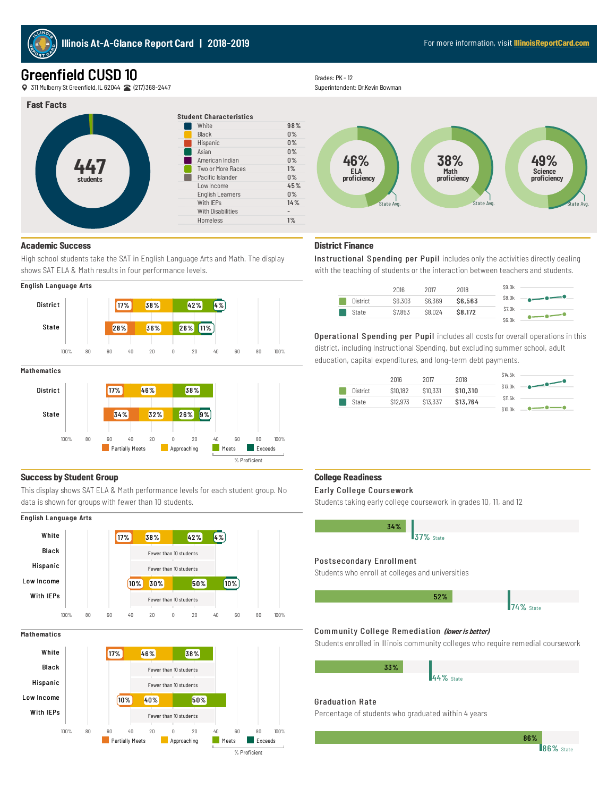

# Greenfield CUSD 10

311 MulberryStGreenfield, IL62044 (217)368-2447

## **Fast Facts**



## **Academic Success**

High school students take the SAT in English Language Arts and Math. The display shows SAT ELA & Math results in four performance levels.



#### **Mathematics**



## **Success by Student Group**

This display shows SAT ELA & Math performance levels for each student group. No data is shown for groups with fewer than 10 students.

## English Language Arts



#### **Mathematics**



Grades: PK - 12

Superintendent: Dr.Kevin Bowman



# **District Finance**

Instructional Spending per Pupil includes only the activities directly dealing with the teaching of students or the interaction between teachers and students.



Operational Spending per Pupil includes all costs for overall operations in this district, including Instructional Spending, but excluding summer school, adult education, capital expenditures, and long-term debt payments.

|          | 2016     | 2017     | 2018     | \$14.5k       |                                                                                                                                                                                                                                                                                                                                                                                                                                                                                                                                                               |
|----------|----------|----------|----------|---------------|---------------------------------------------------------------------------------------------------------------------------------------------------------------------------------------------------------------------------------------------------------------------------------------------------------------------------------------------------------------------------------------------------------------------------------------------------------------------------------------------------------------------------------------------------------------|
| District | \$10,182 | \$10,331 | \$10,310 | \$13.0k       | $\begin{array}{c} \n - \circ \xrightarrow{\hspace{1.5cm}} & \circ \xrightarrow{\hspace{1.5cm}} & \circ \xrightarrow{\hspace{1.5cm}} & \circ \xrightarrow{\hspace{1.5cm}} & \circ \xrightarrow{\hspace{1.5cm}} & \circ \xrightarrow{\hspace{1.5cm}} & \circ \xrightarrow{\hspace{1.5cm}} & \circ \xrightarrow{\hspace{1.5cm}} & \circ \xrightarrow{\hspace{1.5cm}} & \circ \xrightarrow{\hspace{1.5cm}} & \circ \xrightarrow{\hspace{1.5cm}} & \circ \xrightarrow{\hspace{1.5cm}} & \circ \xrightarrow{\hspace{1.5cm}} & \circ \xrightarrow{\hspace{1.5cm}} &$ |
| State    | \$12,973 | \$13,337 | \$13,764 | <b>S11.5k</b> |                                                                                                                                                                                                                                                                                                                                                                                                                                                                                                                                                               |
|          |          |          |          | \$10.0k       |                                                                                                                                                                                                                                                                                                                                                                                                                                                                                                                                                               |

### **College Readiness**

#### Early College Coursework

Students taking early college coursework in grades 10, 11, and 12

| 34%                                              |  |
|--------------------------------------------------|--|
| <b>37%</b> State                                 |  |
|                                                  |  |
| Postsecondary Enrollment                         |  |
| Students who enroll at colleges and universities |  |

### **74%** State 52%

## Community College Remediation (lower is better)

Students enrolled in Illinois community colleges who require remedial coursework

| 33% |           |
|-----|-----------|
|     | 44% State |
|     |           |

## Graduation Rate

Percentage of students who graduated within 4 years

86%